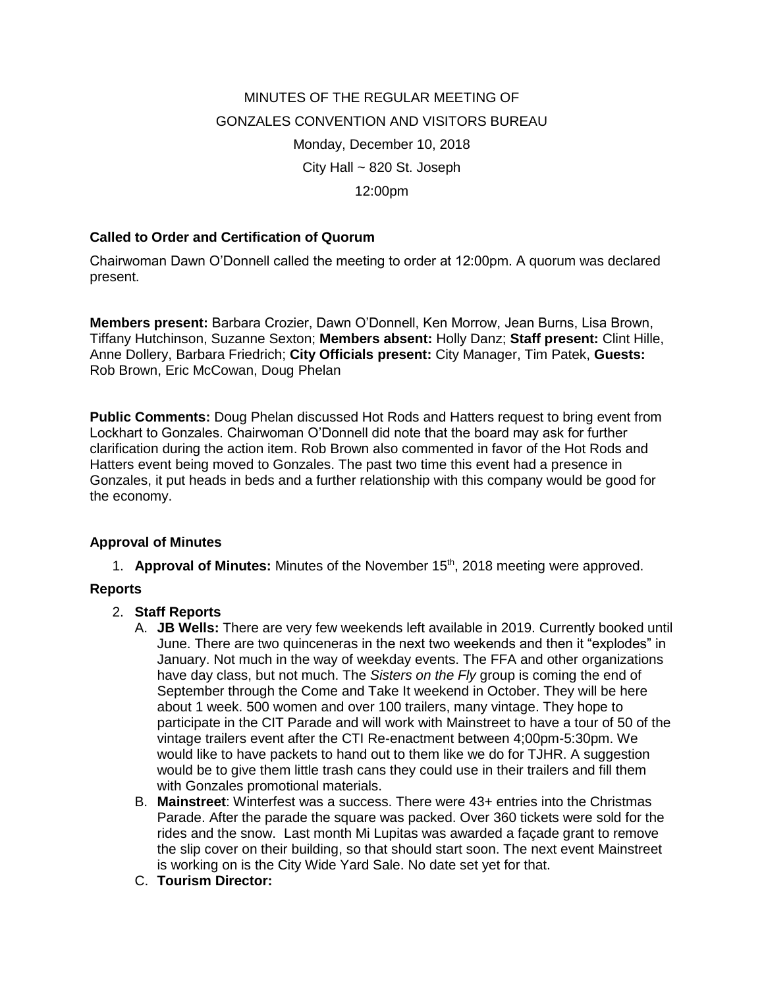# MINUTES OF THE REGULAR MEETING OF GONZALES CONVENTION AND VISITORS BUREAU Monday, December 10, 2018 City Hall ~ 820 St. Joseph 12:00pm

## **Called to Order and Certification of Quorum**

Chairwoman Dawn O'Donnell called the meeting to order at 12:00pm. A quorum was declared present.

**Members present:** Barbara Crozier, Dawn O'Donnell, Ken Morrow, Jean Burns, Lisa Brown, Tiffany Hutchinson, Suzanne Sexton; **Members absent:** Holly Danz; **Staff present:** Clint Hille, Anne Dollery, Barbara Friedrich; **City Officials present:** City Manager, Tim Patek, **Guests:** Rob Brown, Eric McCowan, Doug Phelan

**Public Comments:** Doug Phelan discussed Hot Rods and Hatters request to bring event from Lockhart to Gonzales. Chairwoman O'Donnell did note that the board may ask for further clarification during the action item. Rob Brown also commented in favor of the Hot Rods and Hatters event being moved to Gonzales. The past two time this event had a presence in Gonzales, it put heads in beds and a further relationship with this company would be good for the economy.

#### **Approval of Minutes**

1. **Approval of Minutes:** Minutes of the November 15th, 2018 meeting were approved.

#### **Reports**

- 2. **Staff Reports**
	- A. **JB Wells:** There are very few weekends left available in 2019. Currently booked until June. There are two quinceneras in the next two weekends and then it "explodes" in January. Not much in the way of weekday events. The FFA and other organizations have day class, but not much. The *Sisters on the Fly* group is coming the end of September through the Come and Take It weekend in October. They will be here about 1 week. 500 women and over 100 trailers, many vintage. They hope to participate in the CIT Parade and will work with Mainstreet to have a tour of 50 of the vintage trailers event after the CTI Re-enactment between 4;00pm-5:30pm. We would like to have packets to hand out to them like we do for TJHR. A suggestion would be to give them little trash cans they could use in their trailers and fill them with Gonzales promotional materials.
	- B. **Mainstreet**: Winterfest was a success. There were 43+ entries into the Christmas Parade. After the parade the square was packed. Over 360 tickets were sold for the rides and the snow. Last month Mi Lupitas was awarded a façade grant to remove the slip cover on their building, so that should start soon. The next event Mainstreet is working on is the City Wide Yard Sale. No date set yet for that.
	- C. **Tourism Director:**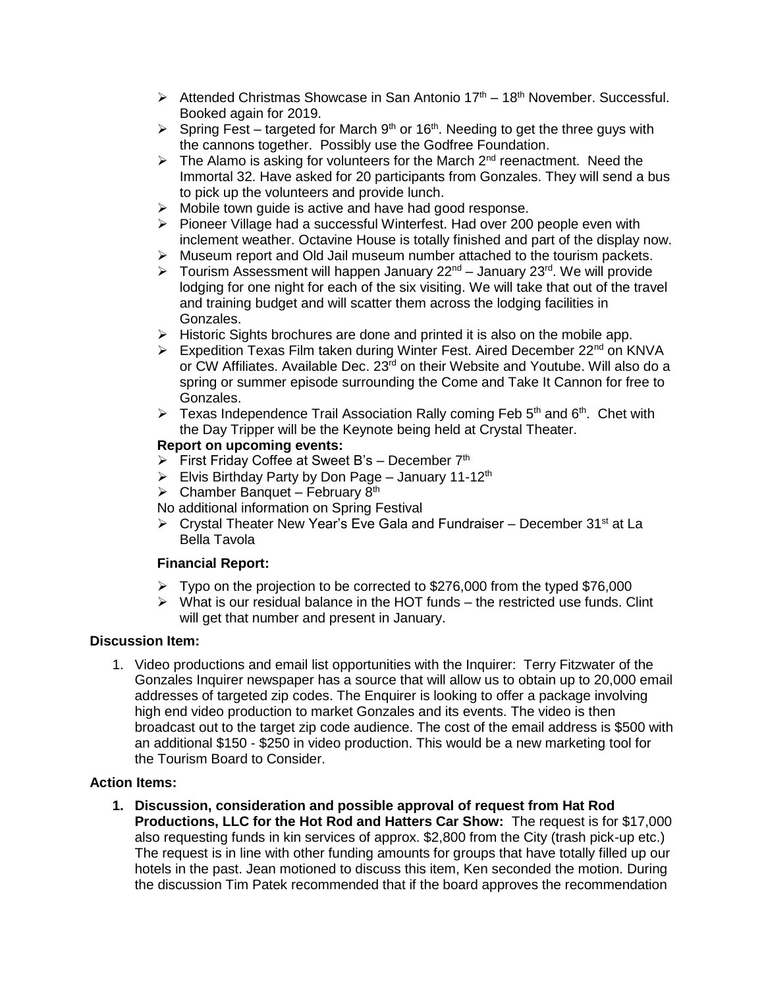- $\triangleright$  Attended Christmas Showcase in San Antonio 17<sup>th</sup> 18<sup>th</sup> November. Successful. Booked again for 2019.
- $\triangleright$  Spring Fest targeted for March 9<sup>th</sup> or 16<sup>th</sup>. Needing to get the three guys with the cannons together. Possibly use the Godfree Foundation.
- $\triangleright$  The Alamo is asking for volunteers for the March 2<sup>nd</sup> reenactment. Need the Immortal 32. Have asked for 20 participants from Gonzales. They will send a bus to pick up the volunteers and provide lunch.
- ➢ Mobile town guide is active and have had good response.
- ➢ Pioneer Village had a successful Winterfest. Had over 200 people even with inclement weather. Octavine House is totally finished and part of the display now.
- ➢ Museum report and Old Jail museum number attached to the tourism packets.
- $\triangleright$  Tourism Assessment will happen January 22<sup>nd</sup> January 23<sup>rd</sup>. We will provide lodging for one night for each of the six visiting. We will take that out of the travel and training budget and will scatter them across the lodging facilities in Gonzales.
- $\triangleright$  Historic Sights brochures are done and printed it is also on the mobile app.
- ➢ Expedition Texas Film taken during Winter Fest. Aired December 22nd on KNVA or CW Affiliates. Available Dec. 23rd on their Website and Youtube. Will also do a spring or summer episode surrounding the Come and Take It Cannon for free to Gonzales.
- $\triangleright$  Texas Independence Trail Association Rally coming Feb 5<sup>th</sup> and 6<sup>th</sup>. Chet with the Day Tripper will be the Keynote being held at Crystal Theater.

## **Report on upcoming events:**

- ➢ First Friday Coffee at Sweet B's December 7th
- $\triangleright$  Elvis Birthday Party by Don Page January 11-12<sup>th</sup>
- $\triangleright$  Chamber Banquet February 8<sup>th</sup>
- No additional information on Spring Festival
- $\triangleright$  Crystal Theater New Year's Eve Gala and Fundraiser December 31<sup>st</sup> at La Bella Tavola

#### **Financial Report:**

- $\triangleright$  Typo on the projection to be corrected to \$276,000 from the typed \$76,000
- $\triangleright$  What is our residual balance in the HOT funds the restricted use funds. Clint will get that number and present in January.

#### **Discussion Item:**

1. Video productions and email list opportunities with the Inquirer: Terry Fitzwater of the Gonzales Inquirer newspaper has a source that will allow us to obtain up to 20,000 email addresses of targeted zip codes. The Enquirer is looking to offer a package involving high end video production to market Gonzales and its events. The video is then broadcast out to the target zip code audience. The cost of the email address is \$500 with an additional \$150 - \$250 in video production. This would be a new marketing tool for the Tourism Board to Consider.

#### **Action Items:**

**1. Discussion, consideration and possible approval of request from Hat Rod Productions, LLC for the Hot Rod and Hatters Car Show:** The request is for \$17,000 also requesting funds in kin services of approx. \$2,800 from the City (trash pick-up etc.) The request is in line with other funding amounts for groups that have totally filled up our hotels in the past. Jean motioned to discuss this item, Ken seconded the motion. During the discussion Tim Patek recommended that if the board approves the recommendation